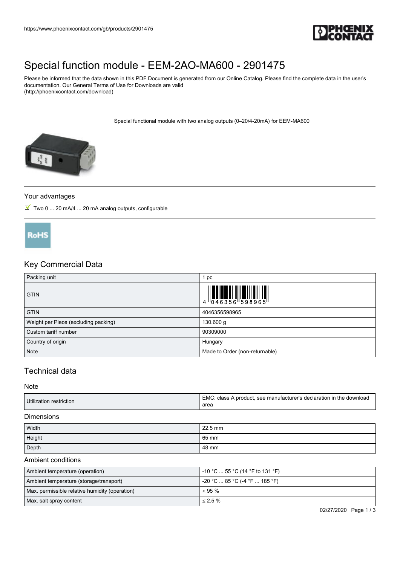

# [Special function module - EEM-2AO-MA600 - 2901475](https://www.phoenixcontact.com/gb/products/2901475)

Please be informed that the data shown in this PDF Document is generated from our Online Catalog. Please find the complete data in the user's documentation. Our General Terms of Use for Downloads are valid (http://phoenixcontact.com/download)

Special functional module with two analog outputs (0–20/4-20mA) for EEM-MA600



#### Your advantages

 $\boxed{\blacksquare}$  Two 0 ... 20 mA/4 ... 20 mA analog outputs, configurable



## Key Commercial Data

| Packing unit                         | pc                                                                                                                                                                                                                                                                                                                       |
|--------------------------------------|--------------------------------------------------------------------------------------------------------------------------------------------------------------------------------------------------------------------------------------------------------------------------------------------------------------------------|
| <b>GTIN</b>                          | $\begin{array}{c} 1 & 0 & 0 & 0 \\ 0 & 0 & 4 & 6 & 3 & 5 & 6 \\ 0 & 0 & 4 & 6 & 3 & 5 & 6 \\ 0 & 0 & 0 & 0 & 5 & 9 & 8 & 9 & 6 \\ 0 & 0 & 0 & 0 & 0 & 0 & 0 \\ 0 & 0 & 0 & 0 & 0 & 0 & 0 \\ 0 & 0 & 0 & 0 & 0 & 0 & 0 \\ 0 & 0 & 0 & 0 & 0 & 0 & 0 \\ 0 & 0 & 0 & 0 & 0 & 0 & 0 \\ 0 & 0 & 0 & 0 & 0 & 0 & 0 \\ 0 & 0 &$ |
| <b>GTIN</b>                          | 4046356598965                                                                                                                                                                                                                                                                                                            |
| Weight per Piece (excluding packing) | 130.600 g                                                                                                                                                                                                                                                                                                                |
| Custom tariff number                 | 90309000                                                                                                                                                                                                                                                                                                                 |
| Country of origin                    | Hungary                                                                                                                                                                                                                                                                                                                  |
| Note                                 | Made to Order (non-returnable)                                                                                                                                                                                                                                                                                           |

## Technical data

#### **Note**

| Utilization restriction | EMC.<br>$\heartsuit$ : class A product, see manufacturer's declaration in the download<br>area |
|-------------------------|------------------------------------------------------------------------------------------------|
|-------------------------|------------------------------------------------------------------------------------------------|

#### Dimensions

| Width  | 22.5 mm |
|--------|---------|
| Height | 65 mm   |
| Depth  | 48 mm   |

#### Ambient conditions

| Ambient temperature (operation)                | -10 °C  55 °C (14 °F to 131 °F) |
|------------------------------------------------|---------------------------------|
| Ambient temperature (storage/transport)        | -20 °C  85 °C (-4 °F  185 °F)   |
| Max. permissible relative humidity (operation) | $< 95 \%$                       |
| Max. salt spray content                        | $< 2.5 \%$                      |

02/27/2020 Page 1 / 3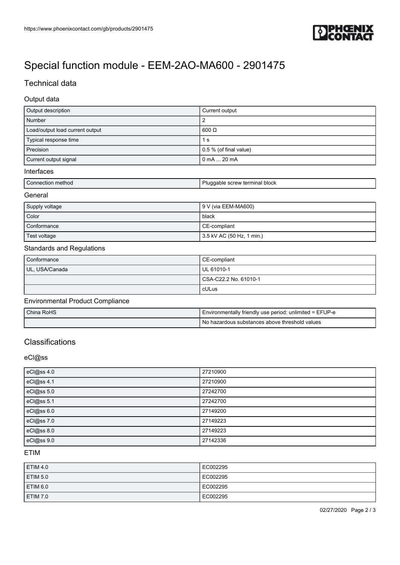

# [Special function module - EEM-2AO-MA600 - 2901475](https://www.phoenixcontact.com/gb/products/2901475)

## Technical data

#### Output data

| Output description              | Current output                 |
|---------------------------------|--------------------------------|
| Number                          |                                |
| Load/output load current output | $600 \Omega$                   |
| Typical response time           | 1 s                            |
| Precision                       | $\vert$ 0.5 % (of final value) |
| Current output signal           | $0$ mA $\dots$ 20 mA           |

#### Interfaces

| l Connection method | Pluggable screw terminal block |
|---------------------|--------------------------------|
| General             |                                |

| Supply voltage | 9 V (via EEM-MA600)       |
|----------------|---------------------------|
| Color          | black                     |
| Conformance    | CE-compliant              |
| Test voltage   | 3.5 kV AC (50 Hz, 1 min.) |

#### Standards and Regulations

| Conformance    | CE-compliant          |
|----------------|-----------------------|
| UL, USA/Canada | UL 61010-1            |
|                | CSA-C22.2 No. 61010-1 |
|                | cULus                 |

### Environmental Product Compliance

| China RoHS | Environmentally friendly use period: unlimited = EFUP-e |
|------------|---------------------------------------------------------|
|            | No hazardous substances above threshold values          |

## **Classifications**

### eCl@ss

| eCl@ss 4.0 | 27210900 |
|------------|----------|
| eCl@ss 4.1 | 27210900 |
| eCl@ss 5.0 | 27242700 |
| eCl@ss 5.1 | 27242700 |
| eCl@ss 6.0 | 27149200 |
| eCl@ss 7.0 | 27149223 |
| eCl@ss 8.0 | 27149223 |
| eCl@ss 9.0 | 27142336 |

### ETIM

| ETIM 4.0        | EC002295 |
|-----------------|----------|
| <b>ETIM 5.0</b> | EC002295 |
| <b>ETIM 6.0</b> | EC002295 |
| <b>ETIM 7.0</b> | EC002295 |